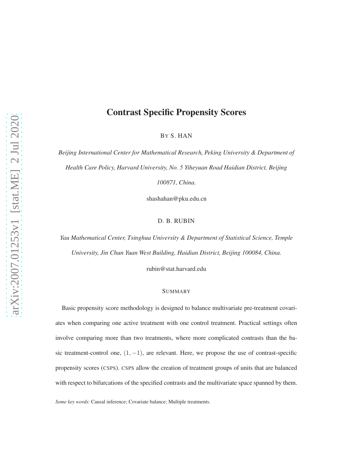# Contrast Specific Propensity Scores

BY S. HAN

*Beijing International Center for Mathematical Research, Peking University & Department of Health Care Policy, Harvard University, No. 5 Yiheyuan Road Haidian District, Beijing*

*100871, China.*

shashahan@pku.edu.cn

## D. B. RUBIN

*Yau Mathematical Center, Tsinghua University & Department of Statistical Science, Temple University, Jin Chun Yuan West Building, Haidian District, Beijing 100084, China.*

rubin@stat.harvard.edu

#### SUMMARY

Basic propensity score methodology is designed to balance multivariate pre-treatment covariates when comparing one active treatment with one control treatment. Practical settings often involve comparing more than two treatments, where more complicated contrasts than the basic treatment-control one,  $(1, -1)$ , are relevant. Here, we propose the use of contrast-specific propensity scores (CSPS). CSPS allow the creation of treatment groups of units that are balanced with respect to bifurcations of the specified contrasts and the multivariate space spanned by them.

*Some key words*: Causal inference; Covariate balance; Multiple treatments.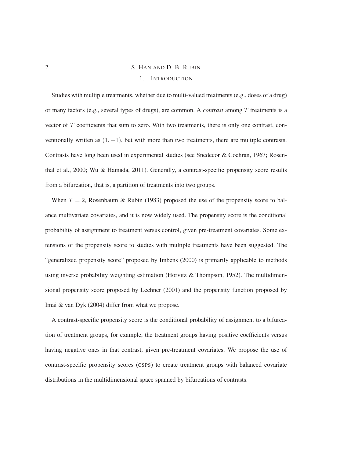# 1. INTRODUCTION

Studies with multiple treatments, whether due to multi-valued treatments (e.g., doses of a drug) or many factors (e.g., several types of drugs), are common. A *contrast* among T treatments is a vector of  $T$  coefficients that sum to zero. With two treatments, there is only one contrast, conventionally written as  $(1, -1)$ , but with more than two treatments, there are multiple contrasts. Contrasts have long been used in experimental studies (see Snedecor & Cochran, 1967; Rosenthal et al., 2000; Wu & Hamada, 2011). Generally, a contrast-specific propensity score results from a bifurcation, that is, a partition of treatments into two groups.

When  $T = 2$ , Rosenbaum & Rubin (1983) proposed the use of the propensity score to balance multivariate covariates, and it is now widely used. The propensity score is the conditional probability of assignment to treatment versus control, given pre-treatment covariates. Some extensions of the propensity score to studies with multiple treatments have been suggested. The "generalized propensity score" proposed by Imbens (2000) is primarily applicable to methods using inverse probability weighting estimation (Horvitz  $\&$  Thompson, 1952). The multidimensional propensity score proposed by Lechner (2001) and the propensity function proposed by Imai & van Dyk (2004) differ from what we propose.

A contrast-specific propensity score is the conditional probability of assignment to a bifurcation of treatment groups, for example, the treatment groups having positive coefficients versus having negative ones in that contrast, given pre-treatment covariates. We propose the use of contrast-specific propensity scores (CSPS) to create treatment groups with balanced covariate distributions in the multidimensional space spanned by bifurcations of contrasts.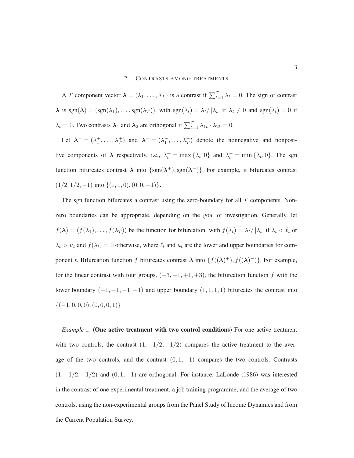#### 2. CONTRASTS AMONG TREATMENTS

A T component vector  $\boldsymbol{\lambda} = (\lambda_1, \dots, \lambda_T)$  is a contrast if  $\sum_{t=1}^T \lambda_t = 0$ . The sign of contrast  $\lambda$  is sgn( $\lambda$ ) = (sgn( $\lambda_1$ ),..., sgn( $\lambda_T$ )), with sgn( $\lambda_t$ ) =  $\lambda_t$ / $|\lambda_t|$  if  $\lambda_t \neq 0$  and sgn( $\lambda_t$ ) = 0 if  $\lambda_t = 0$ . Two contrasts  $\lambda_1$  and  $\lambda_2$  are orthogonal if  $\sum_{t=1}^{T} \lambda_{1t} \cdot \lambda_{2t} = 0$ .

Let  $\lambda^+ = (\lambda_1^+, \dots, \lambda_T^+)$  and  $\lambda^- = (\lambda_1^-)$  $\overline{1}, \ldots, \overline{\lambda}_T$  denote the nonnegative and nonpositive components of  $\lambda$  respectively, i.e.,  $\lambda_t^+ = \max\{\lambda_t, 0\}$  and  $\lambda_t^- = \min\{\lambda_t, 0\}$ . The sgn function bifurcates contrast  $\lambda$  into  $\{sgn(\lambda^+), sgn(\lambda^-)\}\$ . For example, it bifurcates contrast  $(1/2, 1/2, -1)$  into  $\{(1, 1, 0), (0, 0, -1)\}.$ 

The sgn function bifurcates a contrast using the zero-boundary for all  $T$  components. Nonzero boundaries can be appropriate, depending on the goal of investigation. Generally, let  $f(\lambda) = (f(\lambda_1), \dots, f(\lambda_T))$  be the function for bifurcation, with  $f(\lambda_t) = \lambda_t / |\lambda_t|$  if  $\lambda_t < \ell_t$  or  $\lambda_t > u_t$  and  $f(\lambda_t) = 0$  otherwise, where  $\ell_t$  and  $u_t$  are the lower and upper boundaries for component t. Bifurcation function f bifurcates contrast  $\lambda$  into  $\{f((\lambda)^+), f((\lambda)^-) \}$ . For example, for the linear contrast with four groups,  $(-3, -1, +1, +3)$ , the bifurcation function f with the lower boundary  $(-1, -1, -1, -1)$  and upper boundary  $(1, 1, 1, 1)$  bifurcates the contrast into  ${(-1, 0, 0, 0), (0, 0, 0, 1)}.$ 

*Example* 1. (**One active treatment with two control conditions**) For one active treatment with two controls, the contrast  $(1, -1/2, -1/2)$  compares the active treatment to the average of the two controls, and the contrast  $(0, 1, -1)$  compares the two controls. Contrasts  $(1, -1/2, -1/2)$  and  $(0, 1, -1)$  are orthogonal. For instance, LaLonde (1986) was interested in the contrast of one experimental treatment, a job training programme, and the average of two controls, using the non-experimental groups from the Panel Study of Income Dynamics and from the Current Population Survey.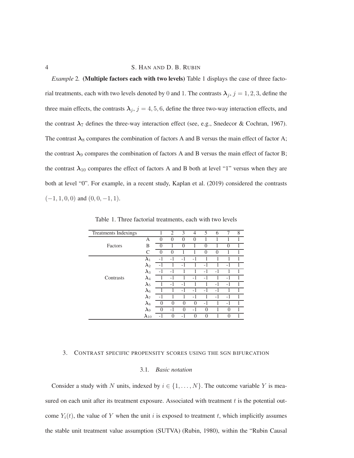*Example* 2*.* (Multiple factors each with two levels) Table 1 displays the case of three factorial treatments, each with two levels denoted by 0 and 1. The contrasts  $\lambda_j$ ,  $j = 1, 2, 3$ , define the three main effects, the contrasts  $\lambda_j$ ,  $j = 4, 5, 6$ , define the three two-way interaction effects, and the contrast  $\lambda_7$  defines the three-way interaction effect (see, e.g., Snedecor & Cochran, 1967). The contrast  $\lambda_8$  compares the combination of factors A and B versus the main effect of factor A; the contrast  $\lambda_9$  compares the combination of factors A and B versus the main effect of factor B; the contrast  $\lambda_{10}$  compares the effect of factors A and B both at level "1" versus when they are both at level "0". For example, in a recent study, Kaplan et al. (2019) considered the contrasts  $(-1, 1, 0, 0)$  and  $(0, 0, -1, 1)$ .

| <b>Treatments Indexings</b> |                             | 1                        | $\overline{2}$ | 3        | 4                        | 5              | 6        | 7        | 8 |
|-----------------------------|-----------------------------|--------------------------|----------------|----------|--------------------------|----------------|----------|----------|---|
|                             | А                           | $\Omega$                 | $\theta$       | $\theta$ | $\Omega$                 |                |          |          | 1 |
| Factors                     | В                           | $\Omega$                 |                | $\theta$ |                          | $\theta$       |          | $\Omega$ | 1 |
|                             | C                           | $\left( \right)$         | $\Omega$       |          |                          | $\Omega$       | $\Omega$ |          |   |
|                             | $\boldsymbol{\lambda}_1$    | $-1$                     | $-1$           | - 1      | $-1$                     |                |          |          | 1 |
|                             | $\boldsymbol{\lambda}_2$    | -                        |                |          |                          | - 1            |          |          |   |
|                             | $\boldsymbol{\lambda}_3$    | $\overline{\phantom{0}}$ | $-1$           |          |                          | -1             | -1       |          |   |
| Contrasts                   | $\boldsymbol{\lambda}_4$    |                          | $-1$           |          | - 1                      | - 1            |          | $-1$     | 1 |
|                             | $\boldsymbol{\lambda}_5$    |                          | $-1$           |          |                          |                | -1       | - 1      |   |
|                             | $\boldsymbol{\lambda}_6$    |                          |                |          | $\overline{\phantom{0}}$ |                | L.       |          |   |
|                             | $\lambda_7$                 | -1                       |                |          | -1                       |                | -1       | $-1$     |   |
|                             | $\boldsymbol{\lambda}_{8}$  | 0                        | $\Omega$       | $\theta$ | $\Omega$                 | $\overline{a}$ |          |          |   |
|                             | $\boldsymbol{\lambda}_9$    | $\mathbf{\Omega}$        | ٠              | $\Omega$ | - 1                      | 0              |          | $\Omega$ |   |
|                             | $\boldsymbol{\lambda}_{10}$ | - 1                      | $\overline{0}$ | - 1      | $\Omega$                 | $\Omega$       |          | $\Omega$ |   |

Table 1. Three factorial treatments, each with two levels

### 3. CONTRAST SPECIFIC PROPENSITY SCORES USING THE SGN BIFURCATION

# 3.1*. Basic notation*

Consider a study with N units, indexed by  $i \in \{1, ..., N\}$ . The outcome variable Y is measured on each unit after its treatment exposure. Associated with treatment  $t$  is the potential outcome  $Y_i(t)$ , the value of Y when the unit i is exposed to treatment t, which implicitly assumes the stable unit treatment value assumption (SUTVA) (Rubin, 1980), within the "Rubin Causal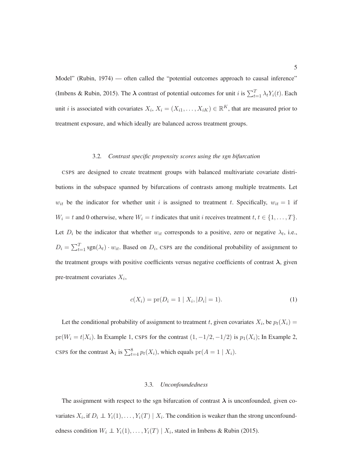Model" (Rubin, 1974) — often called the "potential outcomes approach to causal inference" (Imbens & Rubin, 2015). The  $\lambda$  contrast of potential outcomes for unit i is  $\sum_{t=1}^{T} \lambda_t Y_i(t)$ . Each unit *i* is associated with covariates  $X_i$ ,  $X_i = (X_{i1}, \dots, X_{iK}) \in \mathbb{R}^K$ , that are measured prior to treatment exposure, and which ideally are balanced across treatment groups.

#### 3.2*. Contrast specific propensity scores using the sgn bifurcation*

CSPS are designed to create treatment groups with balanced multivariate covariate distributions in the subspace spanned by bifurcations of contrasts among multiple treatments. Let  $w_{it}$  be the indicator for whether unit i is assigned to treatment t. Specifically,  $w_{it} = 1$  if  $W_i = t$  and 0 otherwise, where  $W_i = t$  indicates that unit i receives treatment  $t, t \in \{1, ..., T\}$ . Let  $D_i$  be the indicator that whether  $w_{it}$  corresponds to a positive, zero or negative  $\lambda_t$ , i.e.,  $D_i = \sum_{t=1}^T \text{sgn}(\lambda_t) \cdot w_{it}$ . Based on  $D_i$ , CSPS are the conditional probability of assignment to the treatment groups with positive coefficients versus negative coefficients of contrast  $\lambda$ , given pre-treatment covariates  $X_i$ ,

$$
c(X_i) = \text{pr}(D_i = 1 \mid X_i, |D_i| = 1). \tag{1}
$$

Let the conditional probability of assignment to treatment t, given covariates  $X_i$ , be  $p_t(X_i) =$  $pr(W_i = t | X_i)$ . In Example 1, CSPS for the contrast  $(1, -1/2, -1/2)$  is  $p_1(X_i)$ ; In Example 2, CSPS for the contrast  $\lambda_1$  is  $\sum_{t=4}^{8} p_t(X_i)$ , which equals  $pr(A = 1 | X_i)$ .

# 3.3*. Unconfoundedness*

The assignment with respect to the sgn bifurcation of contrast  $\lambda$  is unconfounded, given covariates  $X_i$ , if  $D_i \perp Y_i(1), \ldots, Y_i(T) \mid X_i$ . The condition is weaker than the strong unconfoundedness condition  $W_i \perp\!\!\!\perp Y_i(1), \ldots, Y_i(T) \mid X_i$ , stated in Imbens & Rubin (2015).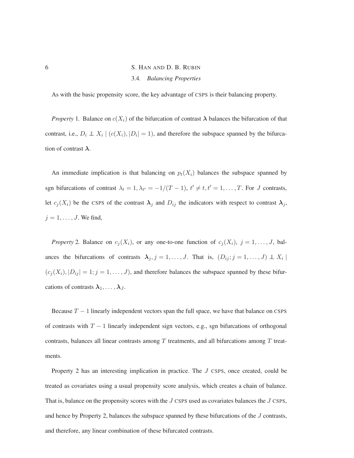# 3.4*. Balancing Properties*

As with the basic propensity score, the key advantage of CSPS is their balancing property.

*Property* 1. Balance on  $c(X_i)$  of the bifurcation of contrast  $\lambda$  balances the bifurcation of that contrast, i.e.,  $D_i \perp X_i \mid (c(X_i), |D_i| = 1)$ , and therefore the subspace spanned by the bifurcation of contrast  $\lambda$ .

An immediate implication is that balancing on  $p_t(X_i)$  balances the subspace spanned by sgn bifurcations of contrast  $\lambda_t = 1, \lambda_{t'} = -1/(T-1), t' \neq t, t' = 1, ..., T$ . For J contrasts, let  $c_j(X_i)$  be the CSPS of the contrast  $\lambda_j$  and  $D_{ij}$  the indicators with respect to contrast  $\lambda_j$ ,  $j = 1, \ldots, J$ . We find,

*Property* 2. Balance on  $c_j(X_i)$ , or any one-to-one function of  $c_j(X_i)$ ,  $j = 1, \ldots, J$ , balances the bifurcations of contrasts  $\lambda_j$ ,  $j = 1, \ldots, J$ . That is,  $(D_{ij}; j = 1, \ldots, J) \perp X_i$  $(c_j(X_i), |D_{ij}| = 1; j = 1, \ldots, J)$ , and therefore balances the subspace spanned by these bifurcations of contrasts  $\lambda_1, \ldots, \lambda_J$ .

Because  $T - 1$  linearly independent vectors span the full space, we have that balance on CSPS of contrasts with  $T - 1$  linearly independent sign vectors, e.g., sgn bifurcations of orthogonal contrasts, balances all linear contrasts among  $T$  treatments, and all bifurcations among  $T$  treatments.

Property 2 has an interesting implication in practice. The J CSPS, once created, could be treated as covariates using a usual propensity score analysis, which creates a chain of balance. That is, balance on the propensity scores with the J CSPS used as covariates balances the J CSPS, and hence by Property 2, balances the subspace spanned by these bifurcations of the J contrasts, and therefore, any linear combination of these bifurcated contrasts.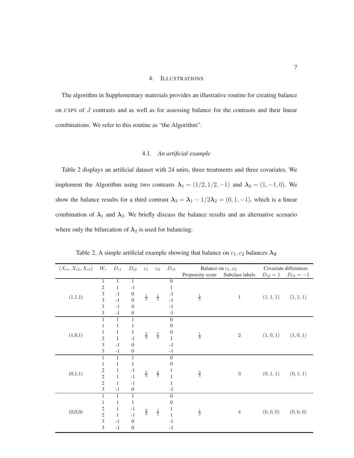#### 4. ILLUSTRATIONS

The algorithm in Supplementary materials provides an illustrative routine for creating balance on CSPS of J contrasts and as well as for assessing balance for the contrasts and their linear combinations. We refer to this routine as "the Algorithm".

# 4.1*. An artificial example*

Table 2 displays an artificial dataset with 24 units, three treatments and three covariates. We implement the Algorithm using two contrasts  $\lambda_1 = (1/2, 1/2, -1)$  and  $\lambda_2 = (1, -1, 0)$ . We show the balance results for a third contrast  $\lambda_3 = \lambda_1 - 1/2\lambda_2 = (0, 1, -1)$ , which is a linear combination of  $\lambda_1$  and  $\lambda_2$ . We briefly discuss the balance results and an alternative scenario where only the bifurcation of  $\lambda_2$  is used for balancing.

| $(X_{i1}, X_{i2}, X_{i3})$ $W_i$ |                  | $D_{i1}$       | $D_{i2}$         | $c_1$         | $\mathfrak{c}_2$ | $D_{i3}$         | Balance on $c_1, c_2$ | Covariate differences |           |                            |
|----------------------------------|------------------|----------------|------------------|---------------|------------------|------------------|-----------------------|-----------------------|-----------|----------------------------|
|                                  |                  |                |                  |               |                  |                  | Propensity score      | Subclass labels       |           | $D_{i3} = 1$ $D_{i3} = -1$ |
| (1,1,1)                          | 1                | $\mathbf{1}$   | $\mathbf{1}$     | $\frac{1}{3}$ | $\frac{1}{2}$    | $\Omega$         |                       | $\mathbf{1}$          | (1, 1, 1) | (1, 1, 1)                  |
|                                  | $\overline{c}$   | $\,1\,$        | $^{\rm -1}$      |               |                  | 1                | $\frac{1}{5}$         |                       |           |                            |
|                                  | 3                | $-1$           | $\boldsymbol{0}$ |               |                  | $-1$             |                       |                       |           |                            |
|                                  | $\overline{3}$   | $-1$           | $\overline{0}$   |               |                  | $^{\rm -1}$      |                       |                       |           |                            |
|                                  | 3                | $-1$           | $\boldsymbol{0}$ |               |                  | $-1$             |                       |                       |           |                            |
|                                  | 3                | $-1$           | $\boldsymbol{0}$ |               |                  | $-1$             |                       |                       |           |                            |
|                                  | 1                | $\mathbf{1}$   | $\mathbf{1}$     |               | $\frac{3}{4}$    | $\overline{0}$   | $\frac{1}{3}$         | $\sqrt{2}$            | (1,0,1)   | (1,0,1)                    |
| (1,0,1)                          |                  | 1              | 1                | $\frac{2}{3}$ |                  | $\boldsymbol{0}$ |                       |                       |           |                            |
|                                  | $\mathbf{1}$     | $\mathbf 1$    | $\mathbf{1}$     |               |                  | $\boldsymbol{0}$ |                       |                       |           |                            |
|                                  | $\overline{c}$   | $\,1\,$        | $-1$             |               |                  | $\mathbf{1}$     |                       |                       |           |                            |
|                                  | $\overline{3}$   | $-1$           | $\mathbf{0}$     |               |                  | $-1$             |                       |                       |           |                            |
|                                  | 3                | $-1$           | $\boldsymbol{0}$ |               |                  | $-1$             |                       |                       |           |                            |
|                                  |                  | 1              | 1                | $\frac{5}{6}$ | $\frac{2}{5}$    | $\mathbf{0}$     |                       | $\sqrt{3}$            | (0, 1, 1) | (0, 1, 1)                  |
|                                  | 1                | $\mathbf{1}$   | $\mathbf{1}$     |               |                  | $\boldsymbol{0}$ |                       |                       |           |                            |
| (0,1,1)                          | $\boldsymbol{2}$ | $\,1$          | $-1$             |               |                  | $\mathbf{1}$     | $\frac{3}{4}$         |                       |           |                            |
|                                  | $\overline{2}$   | $\mathbf{1}$   | $-1$             |               |                  | $\mathbf{1}$     |                       |                       |           |                            |
|                                  | $\overline{2}$   | $\,1$          | $-1$             |               |                  | 1                |                       |                       |           |                            |
|                                  | 3                | $-1$           | $\boldsymbol{0}$ |               |                  | $-1$             |                       |                       |           |                            |
|                                  | $\overline{1}$   | $\overline{1}$ | $\overline{1}$   | $\frac{2}{3}$ |                  | $\overline{0}$   |                       | $\overline{4}$        | (0, 0, 0) | (0,0,0)                    |
| (0,0,0)                          | 1                | $\mathbf{1}$   | 1                |               |                  | $\boldsymbol{0}$ | $\frac{1}{2}$         |                       |           |                            |
|                                  | $\overline{c}$   | $\mathbf 1$    | $-1$             |               | $\frac{1}{2}$    | 1                |                       |                       |           |                            |
|                                  | $\overline{2}$   | $\mathbf{1}$   | $-1$             |               |                  | $\mathbf{1}$     |                       |                       |           |                            |
|                                  | 3                | $-1$           | $\boldsymbol{0}$ |               |                  | $-1$             |                       |                       |           |                            |
|                                  | 3                | $-1$           | $\boldsymbol{0}$ |               |                  | $-1$             |                       |                       |           |                            |

Table 2. A simple artificial example showing that balance on  $c_1, c_2$  balances  $\lambda_3$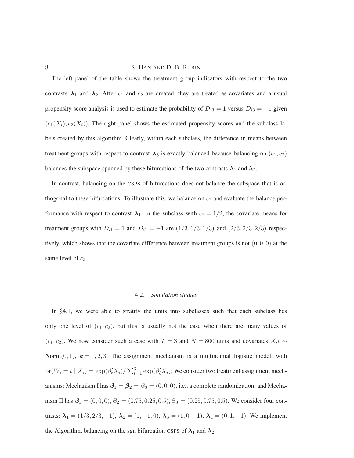The left panel of the table shows the treatment group indicators with respect to the two contrasts  $\lambda_1$  and  $\lambda_2$ . After  $c_1$  and  $c_2$  are created, they are treated as covariates and a usual propensity score analysis is used to estimate the probability of  $D_{i3} = 1$  versus  $D_{i3} = -1$  given  $(c_1(X_i), c_2(X_i))$ . The right panel shows the estimated propensity scores and the subclass labels created by this algorithm. Clearly, within each subclass, the difference in means between treatment groups with respect to contrast  $\lambda_3$  is exactly balanced because balancing on  $(c_1, c_2)$ balances the subspace spanned by these bifurcations of the two contrasts  $\lambda_1$  and  $\lambda_2$ .

In contrast, balancing on the CSPS of bifurcations does not balance the subspace that is orthogonal to these bifurcations. To illustrate this, we balance on  $c_2$  and evaluate the balance performance with respect to contrast  $\lambda_1$ . In the subclass with  $c_2 = 1/2$ , the covariate means for treatment groups with  $D_{i1} = 1$  and  $D_{i1} = -1$  are  $(1/3, 1/3, 1/3)$  and  $(2/3, 2/3, 2/3)$  respectively, which shows that the covariate difference between treatment groups is not  $(0, 0, 0)$  at the same level of  $c_2$ .

#### 4.2*. Simulation studies*

In §4.1, we were able to stratify the units into subclasses such that each subclass has only one level of  $(c_1, c_2)$ , but this is usually not the case when there are many values of  $(c_1, c_2)$ . We now consider such a case with  $T = 3$  and  $N = 800$  units and covariates  $X_{ik} \sim$ Norm $(0, 1)$ ,  $k = 1, 2, 3$ . The assignment mechanism is a multinomial logistic model, with  $pr(W_i = t | X_i) = \exp(\beta_t X_i) / \sum_{\ell=1}^3 \exp(\beta_\ell X_i)$ ; We consider two treatment assignment mechanisms: Mechanism I has  $\beta_1 = \beta_2 = \beta_3 = (0, 0, 0)$ , i.e., a complete randomization, and Mechanism II has  $\beta_1 = (0, 0, 0), \beta_2 = (0.75, 0.25, 0.5), \beta_3 = (0.25, 0.75, 0.5)$ . We consider four contrasts:  $\lambda_1 = (1/3, 2/3, -1), \lambda_2 = (1, -1, 0), \lambda_3 = (1, 0, -1), \lambda_4 = (0, 1, -1)$ . We implement the Algorithm, balancing on the sgn bifurcation CSPS of  $\lambda_1$  and  $\lambda_2$ .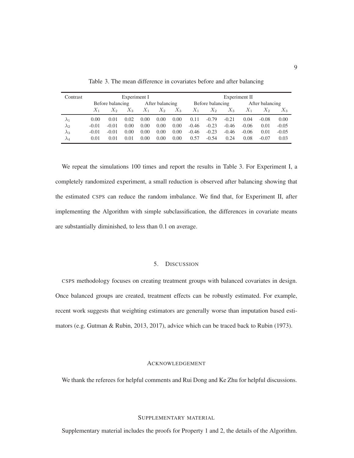| Contrast    | Experiment I     |         |       |                 |       |       |                  | Experiment II |         |                 |         |         |  |
|-------------|------------------|---------|-------|-----------------|-------|-------|------------------|---------------|---------|-----------------|---------|---------|--|
|             | Before balancing |         |       | After balancing |       |       | Before balancing |               |         | After balancing |         |         |  |
|             | $X_1$            | $X_2$   | $X_3$ | $X_1$           | $X_2$ | $X_3$ | $X_1$            | $X_2$         | $X_3$   | $X_1$           | $X_2$   | $X_3$   |  |
| $\lambda_1$ | 0.00             | 0.01    | 0.02  | 0.00            | 0.00  | 0.00  | 0.11             | $-0.79$       | $-0.21$ | 0.04            | $-0.08$ | 0.00    |  |
| $\lambda_2$ | $-0.01$          | $-0.01$ | 0.00  | 0.00            | 0.00  | 0.00  | $-0.46$          | $-0.23$       | $-0.46$ | $-0.06$         | 0.01    | $-0.05$ |  |
| $\lambda_3$ | $-0.01$          | $-0.01$ | 0.00  | 0.00            | 0.00  | 0.00  | $-0.46$          | $-0.23$       | $-0.46$ | $-0.06$         | 0.01    | $-0.05$ |  |
| $\lambda_4$ | 0.01             | 0.01    | 0.01  | 0.00            | 0.00  | 0.00  | 0.57             | $-0.54$       | 0.24    | 0.08            | $-0.07$ | 0.03    |  |

Table 3. The mean difference in covariates before and after balancing

We repeat the simulations 100 times and report the results in Table 3. For Experiment I, a completely randomized experiment, a small reduction is observed after balancing showing that the estimated CSPS can reduce the random imbalance. We find that, for Experiment II, after implementing the Algorithm with simple subclassification, the differences in covariate means are substantially diminished, to less than 0.1 on average.

## 5. DISCUSSION

CSPS methodology focuses on creating treatment groups with balanced covariates in design. Once balanced groups are created, treatment effects can be robustly estimated. For example, recent work suggests that weighting estimators are generally worse than imputation based estimators (e.g. Gutman & Rubin, 2013, 2017), advice which can be traced back to Rubin (1973).

#### ACKNOWLEDGEMENT

We thank the referees for helpful comments and Rui Dong and Ke Zhu for helpful discussions.

# SUPPLEMENTARY MATERIAL

Supplementary material includes the proofs for Property 1 and 2, the details of the Algorithm.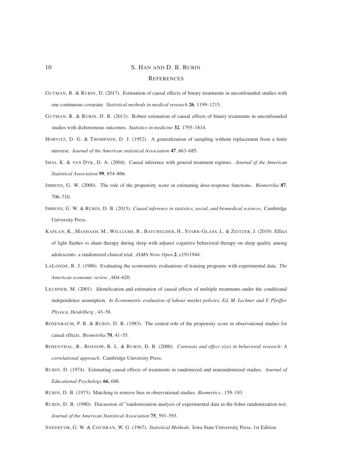# 10 S. HAN AND D. B. RUBIN **REFERENCES**

- GUTMAN, R. & RUBIN, D. (2017). Estimation of causal effects of binary treatments in unconfounded studies with one continuous covariate. *Statistical methods in medical research* 26, 1199–1215.
- GUTMAN, R. & RUBIN, D. B. (2013). Robust estimation of causal effects of binary treatments in unconfounded studies with dichotomous outcomes. *Statistics in medicine* 32, 1795–1814.
- HORVITZ, D. G. & THOMPSON, D. J. (1952). A generalization of sampling without replacement from a finite universe. *Journal of the American statistical Association* 47, 663–685.
- IMAI, K. & VAN DYK, D. A. (2004). Causal inference with general treatment regimes. *Journal of the American Statistical Association* 99, 854–866.
- IMBENS, G. W. (2000). The role of the propensity score in estimating dose-response functions. *Biometrika* 87, 706–710.
- IMBENS, G. W. & RUBIN, D. B. (2015). *Causal inference in statistics, social, and biomedical sciences*. Cambridge University Press.
- KAPLAN, K., MASHASH, M., WILLIAMS, R., BATCHELDER, H., STARR-GLASS, L. & ZEITZER, J. (2019). Effect of light flashes vs sham therapy during sleep with adjunct cognitive behavioral therapy on sleep quality among adolescents: a randomized clinical trial. *JAMA Netw Open* 2, e1911944.
- LALONDE, R. J. (1986). Evaluating the econometric evaluations of training programs with experimental data. *The American economic review* , 604–620.
- LECHNER, M. (2001). Identification and estimation of causal effects of multiple treatments under the conditional independence assumption. *In Econometric evaluation of labour market policies, Ed. M. Lechner and F. Pfeiffer. Physica, Heidelberg* , 43–58.
- ROSENBAUM, P. R. & RUBIN, D. B. (1983). The central role of the propensity score in observational studies for causal effects. *Biometrika* 70, 41–55.
- ROSENTHAL, R., ROSNOW, R. L. & RUBIN, D. B. (2000). *Contrasts and effect sizes in behavioral research: A correlational approach*. Cambridge University Press.
- RUBIN, D. (1974). Estimating causal effects of treatments in randomized and nonrandomized studies. *Journal of Educational Psychology* 66, 688.
- RUBIN, D. B. (1973). Matching to remove bias in observational studies. *Biometrics* , 159–183.
- RUBIN, D. B. (1980). Discussion of "randomization analysis of experimental data in the fisher randomization test. *Journal of the American Statistical Association* 75, 591–593.

SNEDECOR, G. W. & COCHRAN, W. G. (1967). *Statistical Methods*. Iowa State Univerisity Press, 1st Edition.